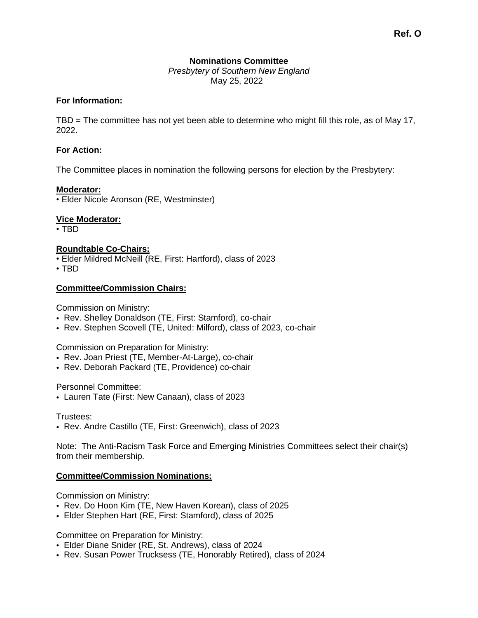# **Nominations Committee**

*Presbytery of Southern New England* May 25, 2022

### **For Information:**

TBD = The committee has not yet been able to determine who might fill this role, as of May 17, 2022.

## **For Action:**

The Committee places in nomination the following persons for election by the Presbytery:

### **Moderator:**

• Elder Nicole Aronson (RE, Westminster)

## **Vice Moderator:**

• TBD

### **Roundtable Co-Chairs:**

• Elder Mildred McNeill (RE, First: Hartford), class of 2023

• TBD

### **Committee/Commission Chairs:**

Commission on Ministry:

- Rev. Shelley Donaldson (TE, First: Stamford), co-chair
- Rev. Stephen Scovell (TE, United: Milford), class of 2023, co-chair

Commission on Preparation for Ministry:

- Rev. Joan Priest (TE, Member-At-Large), co-chair
- Rev. Deborah Packard (TE, Providence) co-chair

Personnel Committee:

• Lauren Tate (First: New Canaan), class of 2023

Trustees:

• Rev. Andre Castillo (TE, First: Greenwich), class of 2023

Note: The Anti-Racism Task Force and Emerging Ministries Committees select their chair(s) from their membership.

## **Committee/Commission Nominations:**

Commission on Ministry:

- Rev. Do Hoon Kim (TE, New Haven Korean), class of 2025
- Elder Stephen Hart (RE, First: Stamford), class of 2025

Committee on Preparation for Ministry:

- Elder Diane Snider (RE, St. Andrews), class of 2024
- Rev. Susan Power Trucksess (TE, Honorably Retired), class of 2024